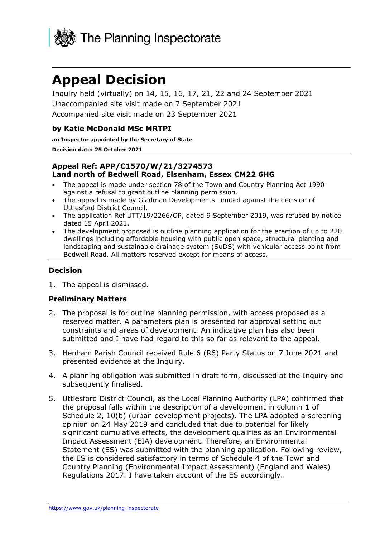

# **Appeal Decision**

Inquiry held (virtually) on 14, 15, 16, 17, 21, 22 and 24 September 2021 Unaccompanied site visit made on 7 September 2021 Accompanied site visit made on 23 September 2021

#### **by Katie McDonald MSc MRTPI**

#### **an Inspector appointed by the Secretary of State**

#### **Decision date: 25 October 2021**

#### **Appeal Ref: APP/C1570/W/21/3274573 Land north of Bedwell Road, Elsenham, Essex CM22 6HG**

- The appeal is made under section 78 of the Town and Country Planning Act 1990 against a refusal to grant outline planning permission.
- The appeal is made by Gladman Developments Limited against the decision of Uttlesford District Council.
- The application Ref UTT/19/2266/OP, dated 9 September 2019, was refused by notice dated 15 April 2021.
- The development proposed is outline planning application for the erection of up to 220 dwellings including affordable housing with public open space, structural planting and landscaping and sustainable drainage system (SuDS) with vehicular access point from Bedwell Road. All matters reserved except for means of access.

#### **Decision**

1. The appeal is dismissed.

#### **Preliminary Matters**

- 2. The proposal is for outline planning permission, with access proposed as a reserved matter. A parameters plan is presented for approval setting out constraints and areas of development. An indicative plan has also been submitted and I have had regard to this so far as relevant to the appeal.
- 3. Henham Parish Council received Rule 6 (R6) Party Status on 7 June 2021 and presented evidence at the Inquiry.
- 4. A planning obligation was submitted in draft form, discussed at the Inquiry and subsequently finalised.
- 5. Uttlesford District Council, as the Local Planning Authority (LPA) confirmed that the proposal falls within the description of a development in column 1 of Schedule 2, 10(b) (urban development projects). The LPA adopted a screening opinion on 24 May 2019 and concluded that due to potential for likely significant cumulative effects, the development qualifies as an Environmental Impact Assessment (EIA) development. Therefore, an Environmental Statement (ES) was submitted with the planning application. Following review, the ES is considered satisfactory in terms of Schedule 4 of the Town and Country Planning (Environmental Impact Assessment) (England and Wales) Regulations 2017. I have taken account of the ES accordingly.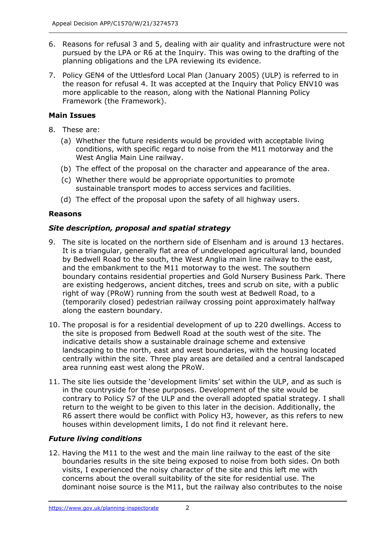- 6. Reasons for refusal 3 and 5, dealing with air quality and infrastructure were not pursued by the LPA or R6 at the Inquiry. This was owing to the drafting of the planning obligations and the LPA reviewing its evidence.
- 7. Policy GEN4 of the Uttlesford Local Plan (January 2005) (ULP) is referred to in the reason for refusal 4. It was accepted at the Inquiry that Policy ENV10 was more applicable to the reason, along with the National Planning Policy Framework (the Framework).

# **Main Issues**

- 8. These are:
	- (a) Whether the future residents would be provided with acceptable living conditions, with specific regard to noise from the M11 motorway and the West Anglia Main Line railway.
	- (b) The effect of the proposal on the character and appearance of the area.
	- (c) Whether there would be appropriate opportunities to promote sustainable transport modes to access services and facilities.
	- (d) The effect of the proposal upon the safety of all highway users.

## **Reasons**

# *Site description, proposal and spatial strategy*

- 9. The site is located on the northern side of Elsenham and is around 13 hectares. It is a triangular, generally flat area of undeveloped agricultural land, bounded by Bedwell Road to the south, the West Anglia main line railway to the east, and the embankment to the M11 motorway to the west. The southern boundary contains residential properties and Gold Nursery Business Park. There are existing hedgerows, ancient ditches, trees and scrub on site, with a public right of way (PRoW) running from the south west at Bedwell Road, to a (temporarily closed) pedestrian railway crossing point approximately halfway along the eastern boundary.
- 10. The proposal is for a residential development of up to 220 dwellings. Access to the site is proposed from Bedwell Road at the south west of the site. The indicative details show a sustainable drainage scheme and extensive landscaping to the north, east and west boundaries, with the housing located centrally within the site. Three play areas are detailed and a central landscaped area running east west along the PRoW.
- 11. The site lies outside the 'development limits' set within the ULP, and as such is in the countryside for these purposes. Development of the site would be contrary to Policy S7 of the ULP and the overall adopted spatial strategy. I shall return to the weight to be given to this later in the decision. Additionally, the R6 assert there would be conflict with Policy H3, however, as this refers to new houses within development limits, I do not find it relevant here.

# *Future living conditions*

12. Having the M11 to the west and the main line railway to the east of the site boundaries results in the site being exposed to noise from both sides. On both visits, I experienced the noisy character of the site and this left me with concerns about the overall suitability of the site for residential use. The dominant noise source is the M11, but the railway also contributes to the noise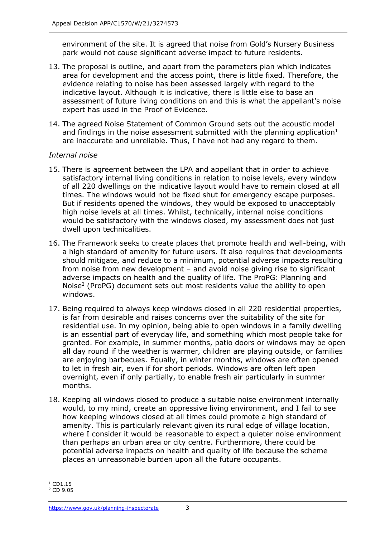environment of the site. It is agreed that noise from Gold's Nursery Business park would not cause significant adverse impact to future residents.

- 13. The proposal is outline, and apart from the parameters plan which indicates area for development and the access point, there is little fixed. Therefore, the evidence relating to noise has been assessed largely with regard to the indicative layout. Although it is indicative, there is little else to base an assessment of future living conditions on and this is what the appellant's noise expert has used in the Proof of Evidence.
- 14. The agreed Noise Statement of Common Ground sets out the acoustic model and findings in the noise assessment submitted with the planning application $1$ are inaccurate and unreliable. Thus, I have not had any regard to them.

#### *Internal noise*

- 15. There is agreement between the LPA and appellant that in order to achieve satisfactory internal living conditions in relation to noise levels, every window of all 220 dwellings on the indicative layout would have to remain closed at all times. The windows would not be fixed shut for emergency escape purposes. But if residents opened the windows, they would be exposed to unacceptably high noise levels at all times. Whilst, technically, internal noise conditions would be satisfactory with the windows closed, my assessment does not just dwell upon technicalities.
- 16. The Framework seeks to create places that promote health and well-being, with a high standard of amenity for future users. It also requires that developments should mitigate, and reduce to a minimum, potential adverse impacts resulting from noise from new development – and avoid noise giving rise to significant adverse impacts on health and the quality of life. The ProPG: Planning and Noise<sup>2</sup> (ProPG) document sets out most residents value the ability to open windows.
- 17. Being required to always keep windows closed in all 220 residential properties, is far from desirable and raises concerns over the suitability of the site for residential use. In my opinion, being able to open windows in a family dwelling is an essential part of everyday life, and something which most people take for granted. For example, in summer months, patio doors or windows may be open all day round if the weather is warmer, children are playing outside, or families are enjoying barbecues. Equally, in winter months, windows are often opened to let in fresh air, even if for short periods. Windows are often left open overnight, even if only partially, to enable fresh air particularly in summer months.
- 18. Keeping all windows closed to produce a suitable noise environment internally would, to my mind, create an oppressive living environment, and I fail to see how keeping windows closed at all times could promote a high standard of amenity. This is particularly relevant given its rural edge of village location, where I consider it would be reasonable to expect a quieter noise environment than perhaps an urban area or city centre. Furthermore, there could be potential adverse impacts on health and quality of life because the scheme places an unreasonable burden upon all the future occupants.

 $1$  CD1.15

<sup>2</sup> CD 9.05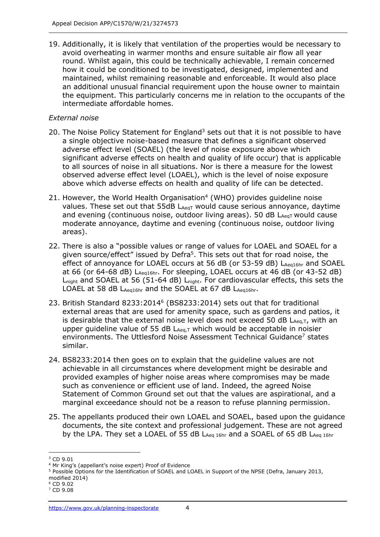19. Additionally, it is likely that ventilation of the properties would be necessary to avoid overheating in warmer months and ensure suitable air flow all year round. Whilst again, this could be technically achievable, I remain concerned how it could be conditioned to be investigated, designed, implemented and maintained, whilst remaining reasonable and enforceable. It would also place an additional unusual financial requirement upon the house owner to maintain the equipment. This particularly concerns me in relation to the occupants of the intermediate affordable homes.

#### *External noise*

- 20. The Noise Policy Statement for England<sup>3</sup> sets out that it is not possible to have a single objective noise-based measure that defines a significant observed adverse effect level (SOAEL) (the level of noise exposure above which significant adverse effects on health and quality of life occur) that is applicable to all sources of noise in all situations. Nor is there a measure for the lowest observed adverse effect level (LOAEL), which is the level of noise exposure above which adverse effects on health and quality of life can be detected.
- 21. However, the World Health Organisation<sup>4</sup> (WHO) provides guideline noise values. These set out that 55dB LAeqT would cause serious annoyance, daytime and evening (continuous noise, outdoor living areas). 50 dB  $L_{AeqT}$  would cause moderate annoyance, daytime and evening (continuous noise, outdoor living areas).
- 22. There is also a "possible values or range of values for LOAEL and SOAEL for a given source/effect" issued by Defra<sup>5</sup>. This sets out that for road noise, the effect of annoyance for LOAEL occurs at 56 dB (or 53-59 dB) LAeg16hr and SOAEL at 66 (or 64-68 dB) LAeq16hr. For sleeping, LOAEL occurs at 46 dB (or 43-52 dB) Lnight and SOAEL at 56 (51-64 dB) Lnight. For cardiovascular effects, this sets the LOAEL at 58 dB LAeq16hr and the SOAEL at 67 dB LAeq16hr.
- 23. British Standard 8233:2014<sup>6</sup> (BS8233:2014) sets out that for traditional external areas that are used for amenity space, such as gardens and patios, it is desirable that the external noise level does not exceed 50 dB  $L_{Aeq,T}$ , with an upper guideline value of 55 dB  $L_{Aeq,T}$  which would be acceptable in noisier environments. The Uttlesford Noise Assessment Technical Guidance<sup>7</sup> states similar.
- 24. BS8233:2014 then goes on to explain that the guideline values are not achievable in all circumstances where development might be desirable and provided examples of higher noise areas where compromises may be made such as convenience or efficient use of land. Indeed, the agreed Noise Statement of Common Ground set out that the values are aspirational, and a marginal exceedance should not be a reason to refuse planning permission.
- 25. The appellants produced their own LOAEL and SOAEL, based upon the guidance documents, the site context and professional judgement. These are not agreed by the LPA. They set a LOAEL of 55 dB LAeq 16hr and a SOAEL of 65 dB LAeq 16hr

modified 2014)  $6$  CD 9.02

<sup>3</sup> CD 9.01

<sup>4</sup> Mr King's (appellant's noise expert) Proof of Evidence

<sup>5</sup> Possible Options for the Identification of SOAEL and LOAEL in Support of the NPSE (Defra, January 2013,

<sup>7</sup> CD 9.08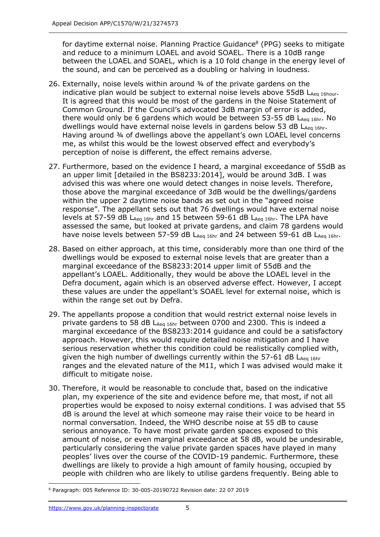for daytime external noise. Planning Practice Guidance<sup>8</sup> (PPG) seeks to mitigate and reduce to a minimum LOAEL and avoid SOAEL. There is a 10dB range between the LOAEL and SOAEL, which is a 10 fold change in the energy level of the sound, and can be perceived as a doubling or halving in loudness.

- 26. Externally, noise levels within around ¾ of the private gardens on the indicative plan would be subject to external noise levels above 55dB LAeq 16hour. It is agreed that this would be most of the gardens in the Noise Statement of Common Ground. If the Council's advocated 3dB margin of error is added, there would only be 6 gardens which would be between  $53-55$  dB  $L_{Aea 16hr}$ . No dwellings would have external noise levels in gardens below 53 dB  $L_{Aeq 16hr}$ . Having around 34 of dwellings above the appellant's own LOAEL level concerns me, as whilst this would be the lowest observed effect and everybody's perception of noise is different, the effect remains adverse.
- 27. Furthermore, based on the evidence I heard, a marginal exceedance of 55dB as an upper limit [detailed in the BS8233:2014], would be around 3dB. I was advised this was where one would detect changes in noise levels. Therefore, those above the marginal exceedance of 3dB would be the dwellings/gardens within the upper 2 daytime noise bands as set out in the "agreed noise response". The appellant sets out that 76 dwellings would have external noise levels at 57-59 dB LAeq 16hr and 15 between 59-61 dB LAeq 16hr. The LPA have assessed the same, but looked at private gardens, and claim 78 gardens would have noise levels between 57-59 dB  $L_{Aea 16hr}$  and 24 between 59-61 dB  $L_{Aea 16hr}$ .
- 28. Based on either approach, at this time, considerably more than one third of the dwellings would be exposed to external noise levels that are greater than a marginal exceedance of the BS8233:2014 upper limit of 55dB and the appellant's LOAEL. Additionally, they would be above the LOAEL level in the Defra document, again which is an observed adverse effect. However, I accept these values are under the appellant's SOAEL level for external noise, which is within the range set out by Defra.
- 29. The appellants propose a condition that would restrict external noise levels in private gardens to 58 dB  $L_{Aeq,16hr}$  between 0700 and 2300. This is indeed a marginal exceedance of the BS8233:2014 guidance and could be a satisfactory approach. However, this would require detailed noise mitigation and I have serious reservation whether this condition could be realistically complied with, given the high number of dwellings currently within the 57-61 dB LAeq 16hr ranges and the elevated nature of the M11, which I was advised would make it difficult to mitigate noise.
- 30. Therefore, it would be reasonable to conclude that, based on the indicative plan, my experience of the site and evidence before me, that most, if not all properties would be exposed to noisy external conditions. I was advised that 55 dB is around the level at which someone may raise their voice to be heard in normal conversation. Indeed, the WHO describe noise at 55 dB to cause serious annoyance. To have most private garden spaces exposed to this amount of noise, or even marginal exceedance at 58 dB, would be undesirable, particularly considering the value private garden spaces have played in many peoples' lives over the course of the COVID-19 pandemic. Furthermore, these dwellings are likely to provide a high amount of family housing, occupied by people with children who are likely to utilise gardens frequently. Being able to

<sup>8</sup> Paragraph: 005 Reference ID: 30-005-20190722 Revision date: 22 07 2019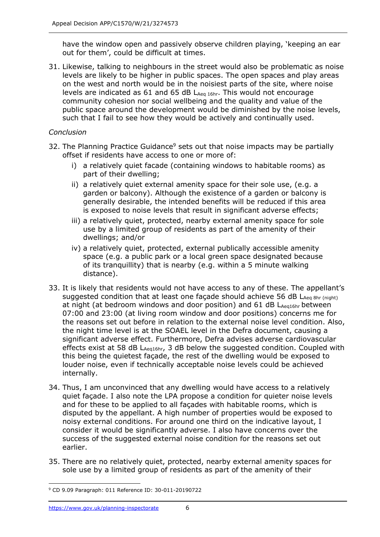have the window open and passively observe children playing, 'keeping an ear out for them', could be difficult at times.

31. Likewise, talking to neighbours in the street would also be problematic as noise levels are likely to be higher in public spaces. The open spaces and play areas on the west and north would be in the noisiest parts of the site, where noise levels are indicated as 61 and 65 dB  $L_{\text{Aeg 16hr}}$ . This would not encourage community cohesion nor social wellbeing and the quality and value of the public space around the development would be diminished by the noise levels, such that I fail to see how they would be actively and continually used.

#### *Conclusion*

- 32. The Planning Practice Guidance<sup>9</sup> sets out that noise impacts may be partially offset if residents have access to one or more of:
	- i) a relatively quiet facade (containing windows to habitable rooms) as part of their dwelling;
	- ii) a relatively quiet external amenity space for their sole use, (e.g. a garden or balcony). Although the existence of a garden or balcony is generally desirable, the intended benefits will be reduced if this area is exposed to noise levels that result in significant adverse effects;
	- iii) a relatively quiet, protected, nearby external amenity space for sole use by a limited group of residents as part of the amenity of their dwellings; and/or
	- iv) a relatively quiet, protected, external publically accessible amenity space (e.g. a public park or a local green space designated because of its tranquillity) that is nearby (e.g. within a 5 minute walking distance).
- 33. It is likely that residents would not have access to any of these. The appellant's suggested condition that at least one façade should achieve 56 dB LAeq 8hr (night) at night (at bedroom windows and door position) and  $61$  dB  $L_{Aeq16hr}$  between 07:00 and 23:00 (at living room window and door positions) concerns me for the reasons set out before in relation to the external noise level condition. Also, the night time level is at the SOAEL level in the Defra document, causing a significant adverse effect. Furthermore, Defra advises adverse cardiovascular effects exist at 58 dB LAeq16hr, 3 dB below the suggested condition. Coupled with this being the quietest façade, the rest of the dwelling would be exposed to louder noise, even if technically acceptable noise levels could be achieved internally.
- 34. Thus, I am unconvinced that any dwelling would have access to a relatively quiet façade. I also note the LPA propose a condition for quieter noise levels and for these to be applied to all façades with habitable rooms, which is disputed by the appellant. A high number of properties would be exposed to noisy external conditions. For around one third on the indicative layout, I consider it would be significantly adverse. I also have concerns over the success of the suggested external noise condition for the reasons set out earlier.
- 35. There are no relatively quiet, protected, nearby external amenity spaces for sole use by a limited group of residents as part of the amenity of their

<sup>9</sup> CD 9.09 Paragraph: 011 Reference ID: 30-011-20190722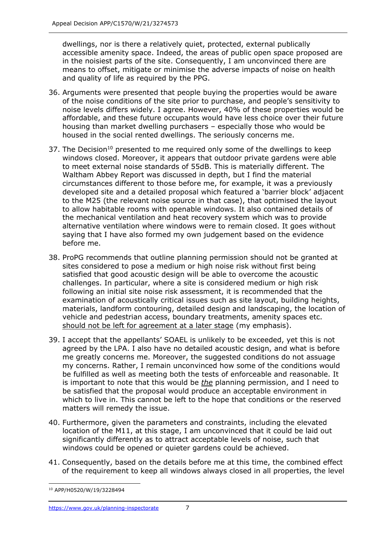dwellings, nor is there a relatively quiet, protected, external publically accessible amenity space. Indeed, the areas of public open space proposed are in the noisiest parts of the site. Consequently, I am unconvinced there are means to offset, mitigate or minimise the adverse impacts of noise on health and quality of life as required by the PPG.

- 36. Arguments were presented that people buying the properties would be aware of the noise conditions of the site prior to purchase, and people's sensitivity to noise levels differs widely. I agree. However, 40% of these properties would be affordable, and these future occupants would have less choice over their future housing than market dwelling purchasers – especially those who would be housed in the social rented dwellings. The seriously concerns me.
- 37. The Decision<sup>10</sup> presented to me required only some of the dwellings to keep windows closed. Moreover, it appears that outdoor private gardens were able to meet external noise standards of 55dB. This is materially different. The Waltham Abbey Report was discussed in depth, but I find the material circumstances different to those before me, for example, it was a previously developed site and a detailed proposal which featured a 'barrier block' adjacent to the M25 (the relevant noise source in that case), that optimised the layout to allow habitable rooms with openable windows. It also contained details of the mechanical ventilation and heat recovery system which was to provide alternative ventilation where windows were to remain closed. It goes without saying that I have also formed my own judgement based on the evidence before me.
- 38. ProPG recommends that outline planning permission should not be granted at sites considered to pose a medium or high noise risk without first being satisfied that good acoustic design will be able to overcome the acoustic challenges. In particular, where a site is considered medium or high risk following an initial site noise risk assessment, it is recommended that the examination of acoustically critical issues such as site layout, building heights, materials, landform contouring, detailed design and landscaping, the location of vehicle and pedestrian access, boundary treatments, amenity spaces etc. should not be left for agreement at a later stage (my emphasis).
- 39. I accept that the appellants' SOAEL is unlikely to be exceeded, yet this is not agreed by the LPA. I also have no detailed acoustic design, and what is before me greatly concerns me. Moreover, the suggested conditions do not assuage my concerns. Rather, I remain unconvinced how some of the conditions would be fulfilled as well as meeting both the tests of enforceable and reasonable. It is important to note that this would be *the* planning permission, and I need to be satisfied that the proposal would produce an acceptable environment in which to live in. This cannot be left to the hope that conditions or the reserved matters will remedy the issue.
- 40. Furthermore, given the parameters and constraints, including the elevated location of the M11, at this stage, I am unconvinced that it could be laid out significantly differently as to attract acceptable levels of noise, such that windows could be opened or quieter gardens could be achieved.
- 41. Consequently, based on the details before me at this time, the combined effect of the requirement to keep all windows always closed in all properties, the level

<sup>10</sup> APP/H0520/W/19/3228494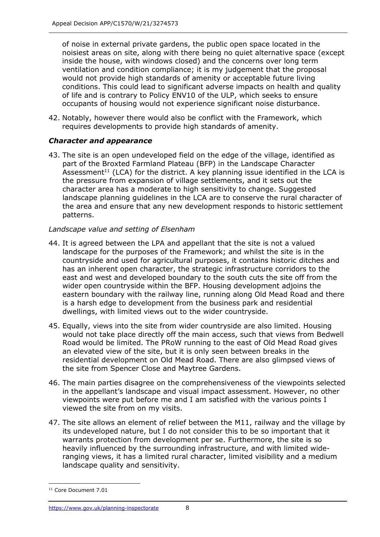of noise in external private gardens, the public open space located in the noisiest areas on site, along with there being no quiet alternative space (except inside the house, with windows closed) and the concerns over long term ventilation and condition compliance; it is my judgement that the proposal would not provide high standards of amenity or acceptable future living conditions. This could lead to significant adverse impacts on health and quality of life and is contrary to Policy ENV10 of the ULP, which seeks to ensure occupants of housing would not experience significant noise disturbance.

42. Notably, however there would also be conflict with the Framework, which requires developments to provide high standards of amenity.

# *Character and appearance*

43. The site is an open undeveloped field on the edge of the village, identified as part of the Broxted Farmland Plateau (BFP) in the Landscape Character Assessment<sup>11</sup> (LCA) for the district. A key planning issue identified in the LCA is the pressure from expansion of village settlements, and it sets out the character area has a moderate to high sensitivity to change. Suggested landscape planning guidelines in the LCA are to conserve the rural character of the area and ensure that any new development responds to historic settlement patterns.

## *Landscape value and setting of Elsenham*

- 44. It is agreed between the LPA and appellant that the site is not a valued landscape for the purposes of the Framework; and whilst the site is in the countryside and used for agricultural purposes, it contains historic ditches and has an inherent open character, the strategic infrastructure corridors to the east and west and developed boundary to the south cuts the site off from the wider open countryside within the BFP. Housing development adjoins the eastern boundary with the railway line, running along Old Mead Road and there is a harsh edge to development from the business park and residential dwellings, with limited views out to the wider countryside.
- 45. Equally, views into the site from wider countryside are also limited. Housing would not take place directly off the main access, such that views from Bedwell Road would be limited. The PRoW running to the east of Old Mead Road gives an elevated view of the site, but it is only seen between breaks in the residential development on Old Mead Road. There are also glimpsed views of the site from Spencer Close and Maytree Gardens.
- 46. The main parties disagree on the comprehensiveness of the viewpoints selected in the appellant's landscape and visual impact assessment. However, no other viewpoints were put before me and I am satisfied with the various points I viewed the site from on my visits.
- 47. The site allows an element of relief between the M11, railway and the village by its undeveloped nature, but I do not consider this to be so important that it warrants protection from development per se. Furthermore, the site is so heavily influenced by the surrounding infrastructure, and with limited wideranging views, it has a limited rural character, limited visibility and a medium landscape quality and sensitivity.

<sup>11</sup> Core Document 7.01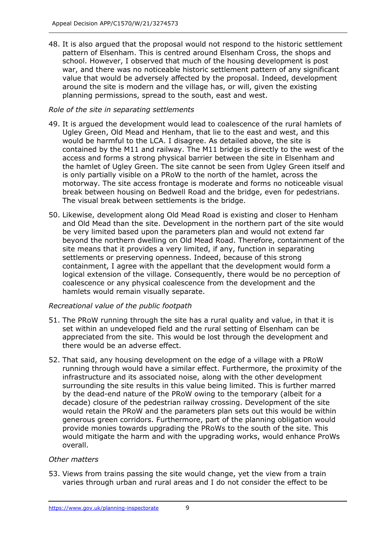48. It is also argued that the proposal would not respond to the historic settlement pattern of Elsenham. This is centred around Elsenham Cross, the shops and school. However, I observed that much of the housing development is post war, and there was no noticeable historic settlement pattern of any significant value that would be adversely affected by the proposal. Indeed, development around the site is modern and the village has, or will, given the existing planning permissions, spread to the south, east and west.

## *Role of the site in separating settlements*

- 49. It is argued the development would lead to coalescence of the rural hamlets of Ugley Green, Old Mead and Henham, that lie to the east and west, and this would be harmful to the LCA. I disagree. As detailed above, the site is contained by the M11 and railway. The M11 bridge is directly to the west of the access and forms a strong physical barrier between the site in Elsenham and the hamlet of Ugley Green. The site cannot be seen from Ugley Green itself and is only partially visible on a PRoW to the north of the hamlet, across the motorway. The site access frontage is moderate and forms no noticeable visual break between housing on Bedwell Road and the bridge, even for pedestrians. The visual break between settlements is the bridge.
- 50. Likewise, development along Old Mead Road is existing and closer to Henham and Old Mead than the site. Development in the northern part of the site would be very limited based upon the parameters plan and would not extend far beyond the northern dwelling on Old Mead Road. Therefore, containment of the site means that it provides a very limited, if any, function in separating settlements or preserving openness. Indeed, because of this strong containment, I agree with the appellant that the development would form a logical extension of the village. Consequently, there would be no perception of coalescence or any physical coalescence from the development and the hamlets would remain visually separate.

## *Recreational value of the public footpath*

- 51. The PRoW running through the site has a rural quality and value, in that it is set within an undeveloped field and the rural setting of Elsenham can be appreciated from the site. This would be lost through the development and there would be an adverse effect.
- 52. That said, any housing development on the edge of a village with a PRoW running through would have a similar effect. Furthermore, the proximity of the infrastructure and its associated noise, along with the other development surrounding the site results in this value being limited. This is further marred by the dead-end nature of the PRoW owing to the temporary (albeit for a decade) closure of the pedestrian railway crossing. Development of the site would retain the PRoW and the parameters plan sets out this would be within generous green corridors. Furthermore, part of the planning obligation would provide monies towards upgrading the PRoWs to the south of the site. This would mitigate the harm and with the upgrading works, would enhance ProWs overall.

## *Other matters*

53. Views from trains passing the site would change, yet the view from a train varies through urban and rural areas and I do not consider the effect to be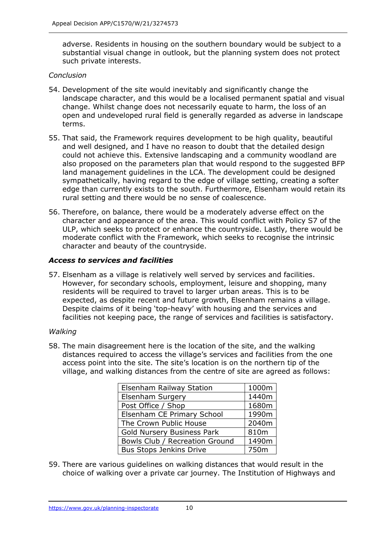adverse. Residents in housing on the southern boundary would be subject to a substantial visual change in outlook, but the planning system does not protect such private interests.

#### *Conclusion*

- 54. Development of the site would inevitably and significantly change the landscape character, and this would be a localised permanent spatial and visual change. Whilst change does not necessarily equate to harm, the loss of an open and undeveloped rural field is generally regarded as adverse in landscape terms.
- 55. That said, the Framework requires development to be high quality, beautiful and well designed, and I have no reason to doubt that the detailed design could not achieve this. Extensive landscaping and a community woodland are also proposed on the parameters plan that would respond to the suggested BFP land management guidelines in the LCA. The development could be designed sympathetically, having regard to the edge of village setting, creating a softer edge than currently exists to the south. Furthermore, Elsenham would retain its rural setting and there would be no sense of coalescence.
- 56. Therefore, on balance, there would be a moderately adverse effect on the character and appearance of the area. This would conflict with Policy S7 of the ULP, which seeks to protect or enhance the countryside. Lastly, there would be moderate conflict with the Framework, which seeks to recognise the intrinsic character and beauty of the countryside.

#### *Access to services and facilities*

57. Elsenham as a village is relatively well served by services and facilities. However, for secondary schools, employment, leisure and shopping, many residents will be required to travel to larger urban areas. This is to be expected, as despite recent and future growth, Elsenham remains a village. Despite claims of it being 'top-heavy' with housing and the services and facilities not keeping pace, the range of services and facilities is satisfactory.

#### *Walking*

58. The main disagreement here is the location of the site, and the walking distances required to access the village's services and facilities from the one access point into the site. The site's location is on the northern tip of the village, and walking distances from the centre of site are agreed as follows:

| <b>Elsenham Railway Station</b> | 1000m |
|---------------------------------|-------|
| <b>Elsenham Surgery</b>         | 1440m |
| Post Office / Shop              | 1680m |
| Elsenham CE Primary School      | 1990m |
| The Crown Public House          | 2040m |
| Gold Nursery Business Park      | 810m  |
| Bowls Club / Recreation Ground  | 1490m |
| <b>Bus Stops Jenkins Drive</b>  | 750m  |

59. There are various guidelines on walking distances that would result in the choice of walking over a private car journey. The Institution of Highways and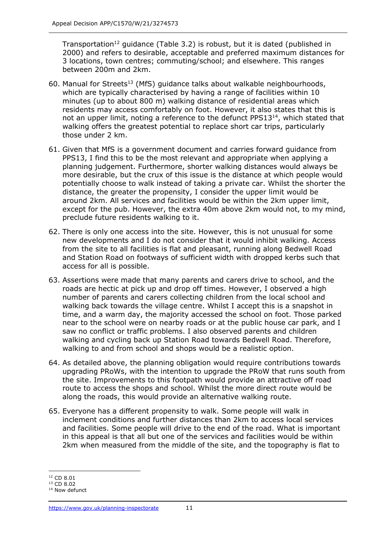Transportation<sup>12</sup> guidance (Table 3.2) is robust, but it is dated (published in 2000) and refers to desirable, acceptable and preferred maximum distances for 3 locations, town centres; commuting/school; and elsewhere. This ranges between 200m and 2km.

- 60. Manual for Streets<sup>13</sup> (MfS) quidance talks about walkable neighbourhoods, which are typically characterised by having a range of facilities within 10 minutes (up to about 800 m) walking distance of residential areas which residents may access comfortably on foot. However, it also states that this is not an upper limit, noting a reference to the defunct PPS13<sup>14</sup>, which stated that walking offers the greatest potential to replace short car trips, particularly those under 2 km.
- 61. Given that MfS is a government document and carries forward guidance from PPS13, I find this to be the most relevant and appropriate when applying a planning judgement. Furthermore, shorter walking distances would always be more desirable, but the crux of this issue is the distance at which people would potentially choose to walk instead of taking a private car. Whilst the shorter the distance, the greater the propensity, I consider the upper limit would be around 2km. All services and facilities would be within the 2km upper limit, except for the pub. However, the extra 40m above 2km would not, to my mind, preclude future residents walking to it.
- 62. There is only one access into the site. However, this is not unusual for some new developments and I do not consider that it would inhibit walking. Access from the site to all facilities is flat and pleasant, running along Bedwell Road and Station Road on footways of sufficient width with dropped kerbs such that access for all is possible.
- 63. Assertions were made that many parents and carers drive to school, and the roads are hectic at pick up and drop off times. However, I observed a high number of parents and carers collecting children from the local school and walking back towards the village centre. Whilst I accept this is a snapshot in time, and a warm day, the majority accessed the school on foot. Those parked near to the school were on nearby roads or at the public house car park, and I saw no conflict or traffic problems. I also observed parents and children walking and cycling back up Station Road towards Bedwell Road. Therefore, walking to and from school and shops would be a realistic option.
- 64. As detailed above, the planning obligation would require contributions towards upgrading PRoWs, with the intention to upgrade the PRoW that runs south from the site. Improvements to this footpath would provide an attractive off road route to access the shops and school. Whilst the more direct route would be along the roads, this would provide an alternative walking route.
- 65. Everyone has a different propensity to walk. Some people will walk in inclement conditions and further distances than 2km to access local services and facilities. Some people will drive to the end of the road. What is important in this appeal is that all but one of the services and facilities would be within 2km when measured from the middle of the site, and the topography is flat to

<sup>12</sup> CD 8.01

<sup>13</sup> CD 8.02

<sup>&</sup>lt;sup>14</sup> Now defunct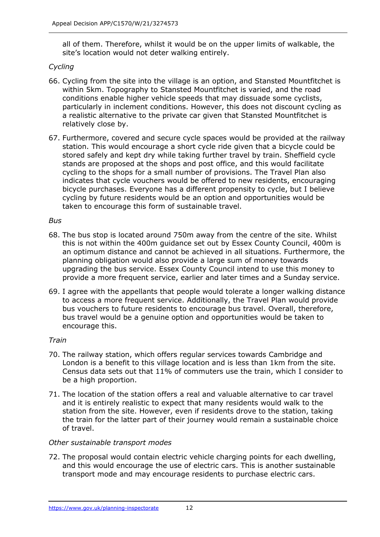all of them. Therefore, whilst it would be on the upper limits of walkable, the site's location would not deter walking entirely.

#### *Cycling*

- 66. Cycling from the site into the village is an option, and Stansted Mountfitchet is within 5km. Topography to Stansted Mountfitchet is varied, and the road conditions enable higher vehicle speeds that may dissuade some cyclists, particularly in inclement conditions. However, this does not discount cycling as a realistic alternative to the private car given that Stansted Mountfitchet is relatively close by.
- 67. Furthermore, covered and secure cycle spaces would be provided at the railway station. This would encourage a short cycle ride given that a bicycle could be stored safely and kept dry while taking further travel by train. Sheffield cycle stands are proposed at the shops and post office, and this would facilitate cycling to the shops for a small number of provisions. The Travel Plan also indicates that cycle vouchers would be offered to new residents, encouraging bicycle purchases. Everyone has a different propensity to cycle, but I believe cycling by future residents would be an option and opportunities would be taken to encourage this form of sustainable travel.

#### *Bus*

- 68. The bus stop is located around 750m away from the centre of the site. Whilst this is not within the 400m guidance set out by Essex County Council, 400m is an optimum distance and cannot be achieved in all situations. Furthermore, the planning obligation would also provide a large sum of money towards upgrading the bus service. Essex County Council intend to use this money to provide a more frequent service, earlier and later times and a Sunday service.
- 69. I agree with the appellants that people would tolerate a longer walking distance to access a more frequent service. Additionally, the Travel Plan would provide bus vouchers to future residents to encourage bus travel. Overall, therefore, bus travel would be a genuine option and opportunities would be taken to encourage this.

#### *Train*

- 70. The railway station, which offers regular services towards Cambridge and London is a benefit to this village location and is less than 1km from the site. Census data sets out that 11% of commuters use the train, which I consider to be a high proportion.
- 71. The location of the station offers a real and valuable alternative to car travel and it is entirely realistic to expect that many residents would walk to the station from the site. However, even if residents drove to the station, taking the train for the latter part of their journey would remain a sustainable choice of travel.

#### *Other sustainable transport modes*

72. The proposal would contain electric vehicle charging points for each dwelling, and this would encourage the use of electric cars. This is another sustainable transport mode and may encourage residents to purchase electric cars.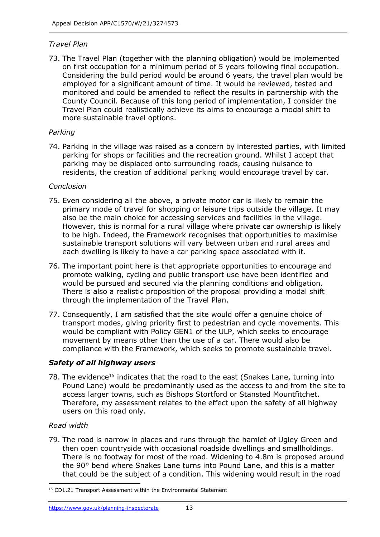#### *Travel Plan*

73. The Travel Plan (together with the planning obligation) would be implemented on first occupation for a minimum period of 5 years following final occupation. Considering the build period would be around 6 years, the travel plan would be employed for a significant amount of time. It would be reviewed, tested and monitored and could be amended to reflect the results in partnership with the County Council. Because of this long period of implementation, I consider the Travel Plan could realistically achieve its aims to encourage a modal shift to more sustainable travel options.

#### *Parking*

74. Parking in the village was raised as a concern by interested parties, with limited parking for shops or facilities and the recreation ground. Whilst I accept that parking may be displaced onto surrounding roads, causing nuisance to residents, the creation of additional parking would encourage travel by car.

#### *Conclusion*

- 75. Even considering all the above, a private motor car is likely to remain the primary mode of travel for shopping or leisure trips outside the village. It may also be the main choice for accessing services and facilities in the village. However, this is normal for a rural village where private car ownership is likely to be high. Indeed, the Framework recognises that opportunities to maximise sustainable transport solutions will vary between urban and rural areas and each dwelling is likely to have a car parking space associated with it.
- 76. The important point here is that appropriate opportunities to encourage and promote walking, cycling and public transport use have been identified and would be pursued and secured via the planning conditions and obligation. There is also a realistic proposition of the proposal providing a modal shift through the implementation of the Travel Plan.
- 77. Consequently, I am satisfied that the site would offer a genuine choice of transport modes, giving priority first to pedestrian and cycle movements. This would be compliant with Policy GEN1 of the ULP, which seeks to encourage movement by means other than the use of a car. There would also be compliance with the Framework, which seeks to promote sustainable travel.

#### *Safety of all highway users*

78. The evidence<sup>15</sup> indicates that the road to the east (Snakes Lane, turning into Pound Lane) would be predominantly used as the access to and from the site to access larger towns, such as Bishops Stortford or Stansted Mountfitchet. Therefore, my assessment relates to the effect upon the safety of all highway users on this road only.

#### *Road width*

79. The road is narrow in places and runs through the hamlet of Ugley Green and then open countryside with occasional roadside dwellings and smallholdings. There is no footway for most of the road. Widening to 4.8m is proposed around the 90° bend where Snakes Lane turns into Pound Lane, and this is a matter that could be the subject of a condition. This widening would result in the road

<sup>&</sup>lt;sup>15</sup> CD1.21 Transport Assessment within the Environmental Statement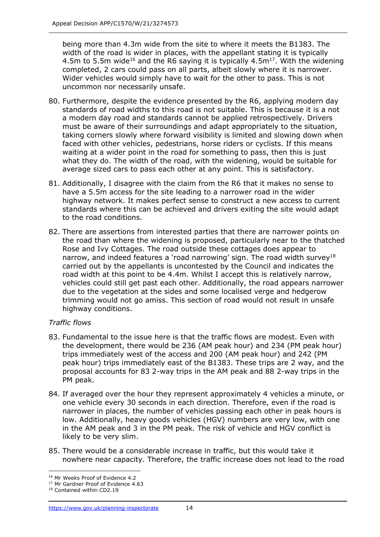being more than 4.3m wide from the site to where it meets the B1383. The width of the road is wider in places, with the appellant stating it is typically 4.5m to 5.5m wide<sup>16</sup> and the R6 saying it is typically 4.5m<sup>17</sup>. With the widening completed, 2 cars could pass on all parts, albeit slowly where it is narrower. Wider vehicles would simply have to wait for the other to pass. This is not uncommon nor necessarily unsafe.

- 80. Furthermore, despite the evidence presented by the R6, applying modern day standards of road widths to this road is not suitable. This is because it is a not a modern day road and standards cannot be applied retrospectively. Drivers must be aware of their surroundings and adapt appropriately to the situation, taking corners slowly where forward visibility is limited and slowing down when faced with other vehicles, pedestrians, horse riders or cyclists. If this means waiting at a wider point in the road for something to pass, then this is just what they do. The width of the road, with the widening, would be suitable for average sized cars to pass each other at any point. This is satisfactory.
- 81. Additionally, I disagree with the claim from the R6 that it makes no sense to have a 5.5m access for the site leading to a narrower road in the wider highway network. It makes perfect sense to construct a new access to current standards where this can be achieved and drivers exiting the site would adapt to the road conditions.
- 82. There are assertions from interested parties that there are narrower points on the road than where the widening is proposed, particularly near to the thatched Rose and Ivy Cottages. The road outside these cottages does appear to narrow, and indeed features a 'road narrowing' sign. The road width survey<sup>18</sup> carried out by the appellants is uncontested by the Council and indicates the road width at this point to be 4.4m. Whilst I accept this is relatively narrow, vehicles could still get past each other. Additionally, the road appears narrower due to the vegetation at the sides and some localised verge and hedgerow trimming would not go amiss. This section of road would not result in unsafe highway conditions.

## *Traffic flows*

- 83. Fundamental to the issue here is that the traffic flows are modest. Even with the development, there would be 236 (AM peak hour) and 234 (PM peak hour) trips immediately west of the access and 200 (AM peak hour) and 242 (PM peak hour) trips immediately east of the B1383. These trips are 2 way, and the proposal accounts for 83 2-way trips in the AM peak and 88 2-way trips in the PM peak.
- 84. If averaged over the hour they represent approximately 4 vehicles a minute, or one vehicle every 30 seconds in each direction. Therefore, even if the road is narrower in places, the number of vehicles passing each other in peak hours is low. Additionally, heavy goods vehicles (HGV) numbers are very low, with one in the AM peak and 3 in the PM peak. The risk of vehicle and HGV conflict is likely to be very slim.
- 85. There would be a considerable increase in traffic, but this would take it nowhere near capacity. Therefore, the traffic increase does not lead to the road

<sup>&</sup>lt;sup>16</sup> Mr Weeks Proof of Evidence 4.2

<sup>&</sup>lt;sup>17</sup> Mr Gardner Proof of Evidence 4.63

<sup>18</sup> Contained within CD2.19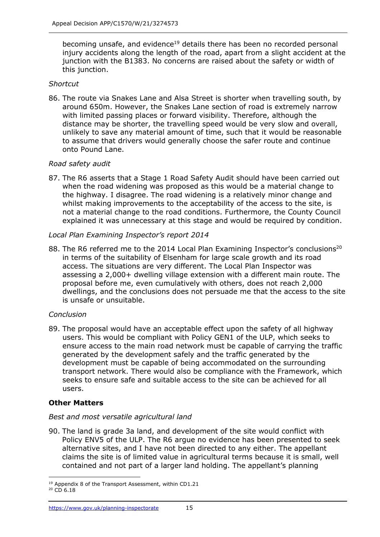becoming unsafe, and evidence<sup>19</sup> details there has been no recorded personal injury accidents along the length of the road, apart from a slight accident at the junction with the B1383. No concerns are raised about the safety or width of this junction.

#### *Shortcut*

86. The route via Snakes Lane and Alsa Street is shorter when travelling south, by around 650m. However, the Snakes Lane section of road is extremely narrow with limited passing places or forward visibility. Therefore, although the distance may be shorter, the travelling speed would be very slow and overall, unlikely to save any material amount of time, such that it would be reasonable to assume that drivers would generally choose the safer route and continue onto Pound Lane.

#### *Road safety audit*

87. The R6 asserts that a Stage 1 Road Safety Audit should have been carried out when the road widening was proposed as this would be a material change to the highway. I disagree. The road widening is a relatively minor change and whilst making improvements to the acceptability of the access to the site, is not a material change to the road conditions. Furthermore, the County Council explained it was unnecessary at this stage and would be required by condition.

#### *Local Plan Examining Inspector's report 2014*

88. The R6 referred me to the 2014 Local Plan Examining Inspector's conclusions<sup>20</sup> in terms of the suitability of Elsenham for large scale growth and its road access. The situations are very different. The Local Plan Inspector was assessing a 2,000+ dwelling village extension with a different main route. The proposal before me, even cumulatively with others, does not reach 2,000 dwellings, and the conclusions does not persuade me that the access to the site is unsafe or unsuitable.

#### *Conclusion*

89. The proposal would have an acceptable effect upon the safety of all highway users. This would be compliant with Policy GEN1 of the ULP, which seeks to ensure access to the main road network must be capable of carrying the traffic generated by the development safely and the traffic generated by the development must be capable of being accommodated on the surrounding transport network. There would also be compliance with the Framework, which seeks to ensure safe and suitable access to the site can be achieved for all users.

## **Other Matters**

#### *Best and most versatile agricultural land*

90. The land is grade 3a land, and development of the site would conflict with Policy ENV5 of the ULP. The R6 argue no evidence has been presented to seek alternative sites, and I have not been directed to any either. The appellant claims the site is of limited value in agricultural terms because it is small, well contained and not part of a larger land holding. The appellant's planning

<sup>&</sup>lt;sup>19</sup> Appendix 8 of the Transport Assessment, within CD1.21

 $20$  CD 6.18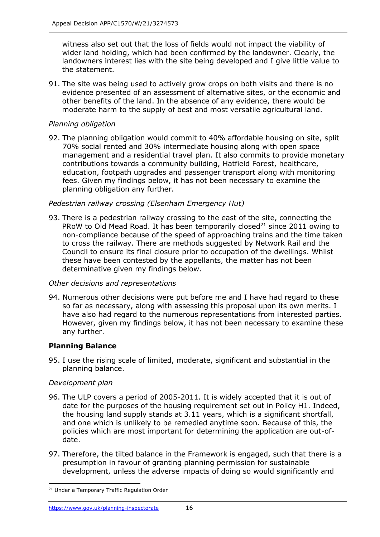witness also set out that the loss of fields would not impact the viability of wider land holding, which had been confirmed by the landowner. Clearly, the landowners interest lies with the site being developed and I give little value to the statement.

91. The site was being used to actively grow crops on both visits and there is no evidence presented of an assessment of alternative sites, or the economic and other benefits of the land. In the absence of any evidence, there would be moderate harm to the supply of best and most versatile agricultural land.

### *Planning obligation*

92. The planning obligation would commit to 40% affordable housing on site, split 70% social rented and 30% intermediate housing along with open space management and a residential travel plan. It also commits to provide monetary contributions towards a community building, Hatfield Forest, healthcare, education, footpath upgrades and passenger transport along with monitoring fees. Given my findings below, it has not been necessary to examine the planning obligation any further.

#### *Pedestrian railway crossing (Elsenham Emergency Hut)*

93. There is a pedestrian railway crossing to the east of the site, connecting the PRoW to Old Mead Road. It has been temporarily closed<sup>21</sup> since 2011 owing to non-compliance because of the speed of approaching trains and the time taken to cross the railway. There are methods suggested by Network Rail and the Council to ensure its final closure prior to occupation of the dwellings. Whilst these have been contested by the appellants, the matter has not been determinative given my findings below.

#### *Other decisions and representations*

94. Numerous other decisions were put before me and I have had regard to these so far as necessary, along with assessing this proposal upon its own merits. I have also had regard to the numerous representations from interested parties. However, given my findings below, it has not been necessary to examine these any further.

## **Planning Balance**

95. I use the rising scale of limited, moderate, significant and substantial in the planning balance.

#### *Development plan*

- 96. The ULP covers a period of 2005-2011. It is widely accepted that it is out of date for the purposes of the housing requirement set out in Policy H1. Indeed, the housing land supply stands at 3.11 years, which is a significant shortfall, and one which is unlikely to be remedied anytime soon. Because of this, the policies which are most important for determining the application are out-ofdate.
- 97. Therefore, the tilted balance in the Framework is engaged, such that there is a presumption in favour of granting planning permission for sustainable development, unless the adverse impacts of doing so would significantly and

<sup>&</sup>lt;sup>21</sup> Under a Temporary Traffic Regulation Order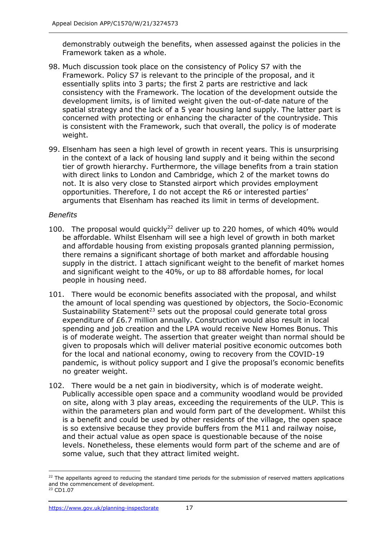demonstrably outweigh the benefits, when assessed against the policies in the Framework taken as a whole.

- 98. Much discussion took place on the consistency of Policy S7 with the Framework. Policy S7 is relevant to the principle of the proposal, and it essentially splits into 3 parts; the first 2 parts are restrictive and lack consistency with the Framework. The location of the development outside the development limits, is of limited weight given the out-of-date nature of the spatial strategy and the lack of a 5 year housing land supply. The latter part is concerned with protecting or enhancing the character of the countryside. This is consistent with the Framework, such that overall, the policy is of moderate weight.
- 99. Elsenham has seen a high level of growth in recent years. This is unsurprising in the context of a lack of housing land supply and it being within the second tier of growth hierarchy. Furthermore, the village benefits from a train station with direct links to London and Cambridge, which 2 of the market towns do not. It is also very close to Stansted airport which provides employment opportunities. Therefore, I do not accept the R6 or interested parties' arguments that Elsenham has reached its limit in terms of development.

#### *Benefits*

- 100. The proposal would quickly<sup>22</sup> deliver up to 220 homes, of which 40% would be affordable. Whilst Elsenham will see a high level of growth in both market and affordable housing from existing proposals granted planning permission, there remains a significant shortage of both market and affordable housing supply in the district. I attach significant weight to the benefit of market homes and significant weight to the 40%, or up to 88 affordable homes, for local people in housing need.
- 101. There would be economic benefits associated with the proposal, and whilst the amount of local spending was questioned by objectors, the Socio-Economic Sustainability Statement<sup>23</sup> sets out the proposal could generate total gross expenditure of £6.7 million annually. Construction would also result in local spending and job creation and the LPA would receive New Homes Bonus. This is of moderate weight. The assertion that greater weight than normal should be given to proposals which will deliver material positive economic outcomes both for the local and national economy, owing to recovery from the COVID-19 pandemic, is without policy support and I give the proposal's economic benefits no greater weight.
- 102. There would be a net gain in biodiversity, which is of moderate weight. Publically accessible open space and a community woodland would be provided on site, along with 3 play areas, exceeding the requirements of the ULP. This is within the parameters plan and would form part of the development. Whilst this is a benefit and could be used by other residents of the village, the open space is so extensive because they provide buffers from the M11 and railway noise, and their actual value as open space is questionable because of the noise levels. Nonetheless, these elements would form part of the scheme and are of some value, such that they attract limited weight.

<sup>&</sup>lt;sup>22</sup> The appellants agreed to reducing the standard time periods for the submission of reserved matters applications and the commencement of development.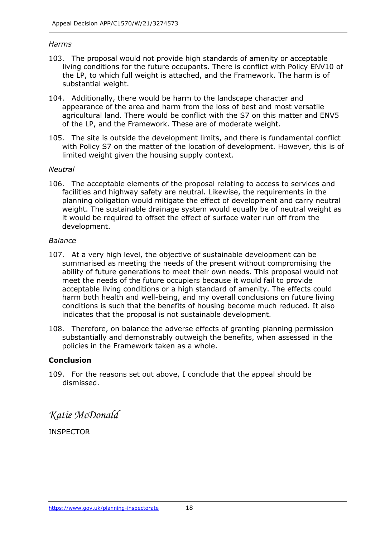#### *Harms*

- 103. The proposal would not provide high standards of amenity or acceptable living conditions for the future occupants. There is conflict with Policy ENV10 of the LP, to which full weight is attached, and the Framework. The harm is of substantial weight.
- 104. Additionally, there would be harm to the landscape character and appearance of the area and harm from the loss of best and most versatile agricultural land. There would be conflict with the S7 on this matter and ENV5 of the LP, and the Framework. These are of moderate weight.
- 105. The site is outside the development limits, and there is fundamental conflict with Policy S7 on the matter of the location of development. However, this is of limited weight given the housing supply context.

#### *Neutral*

106. The acceptable elements of the proposal relating to access to services and facilities and highway safety are neutral. Likewise, the requirements in the planning obligation would mitigate the effect of development and carry neutral weight. The sustainable drainage system would equally be of neutral weight as it would be required to offset the effect of surface water run off from the development.

#### *Balance*

- 107. At a very high level, the objective of sustainable development can be summarised as meeting the needs of the present without compromising the ability of future generations to meet their own needs. This proposal would not meet the needs of the future occupiers because it would fail to provide acceptable living conditions or a high standard of amenity. The effects could harm both health and well-being, and my overall conclusions on future living conditions is such that the benefits of housing become much reduced. It also indicates that the proposal is not sustainable development.
- 108. Therefore, on balance the adverse effects of granting planning permission substantially and demonstrably outweigh the benefits, when assessed in the policies in the Framework taken as a whole.

#### **Conclusion**

109. For the reasons set out above, I conclude that the appeal should be dismissed.

*Katie McDonald*

INSPECTOR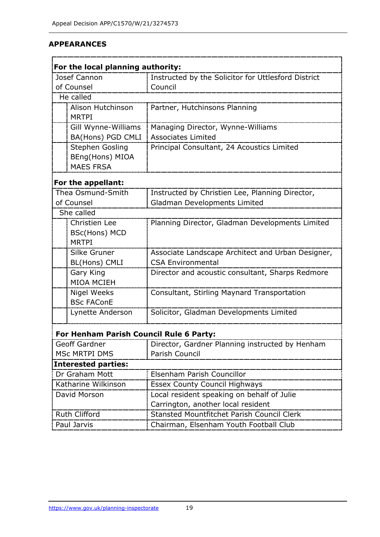## **APPEARANCES**

| For the local planning authority:                                   |                                                                           |                                                                |  |
|---------------------------------------------------------------------|---------------------------------------------------------------------------|----------------------------------------------------------------|--|
| Josef Cannon<br>Instructed by the Solicitor for Uttlesford District |                                                                           |                                                                |  |
| of Counsel                                                          |                                                                           | Council                                                        |  |
|                                                                     | He called                                                                 |                                                                |  |
|                                                                     | Alison Hutchinson                                                         | Partner, Hutchinsons Planning                                  |  |
|                                                                     | <b>MRTPI</b>                                                              |                                                                |  |
|                                                                     |                                                                           |                                                                |  |
|                                                                     | Gill Wynne-Williams                                                       | Managing Director, Wynne-Williams<br><b>Associates Limited</b> |  |
|                                                                     | BA(Hons) PGD CMLI                                                         |                                                                |  |
|                                                                     | <b>Stephen Gosling</b>                                                    | Principal Consultant, 24 Acoustics Limited                     |  |
|                                                                     | BEng(Hons) MIOA                                                           |                                                                |  |
|                                                                     | <b>MAES FRSA</b>                                                          |                                                                |  |
|                                                                     | For the appellant:                                                        |                                                                |  |
|                                                                     | Thea Osmund-Smith                                                         | Instructed by Christien Lee, Planning Director,                |  |
|                                                                     | of Counsel                                                                | Gladman Developments Limited                                   |  |
|                                                                     | She called                                                                |                                                                |  |
|                                                                     | <b>Christien Lee</b>                                                      | Planning Director, Gladman Developments Limited                |  |
|                                                                     | <b>BSc(Hons) MCD</b>                                                      |                                                                |  |
|                                                                     | <b>MRTPI</b>                                                              |                                                                |  |
|                                                                     | Silke Gruner                                                              | Associate Landscape Architect and Urban Designer,              |  |
|                                                                     | BL(Hons) CMLI                                                             | <b>CSA Environmental</b>                                       |  |
|                                                                     | Gary King                                                                 | Director and acoustic consultant, Sharps Redmore               |  |
|                                                                     | <b>MIOA MCIEH</b>                                                         |                                                                |  |
|                                                                     | <b>Nigel Weeks</b>                                                        | Consultant, Stirling Maynard Transportation                    |  |
|                                                                     | <b>BSc FAConE</b>                                                         |                                                                |  |
|                                                                     | Lynette Anderson                                                          | Solicitor, Gladman Developments Limited                        |  |
|                                                                     | For Henham Parish Council Rule 6 Party:                                   |                                                                |  |
|                                                                     | Geoff Gardner                                                             | Director, Gardner Planning instructed by Henham                |  |
| <b>MSc MRTPI DMS</b>                                                |                                                                           | Parish Council                                                 |  |
|                                                                     | <b>Interested parties:</b>                                                |                                                                |  |
| Dr Graham Mott                                                      |                                                                           | Elsenham Parish Councillor                                     |  |
|                                                                     | Katharine Wilkinson                                                       | <b>Essex County Council Highways</b>                           |  |
| David Morson                                                        |                                                                           | Local resident speaking on behalf of Julie                     |  |
|                                                                     |                                                                           | Carrington, another local resident                             |  |
|                                                                     | <b>Ruth Clifford</b><br><b>Stansted Mountfitchet Parish Council Clerk</b> |                                                                |  |
|                                                                     | Paul Jarvis                                                               | Chairman, Elsenham Youth Football Club                         |  |